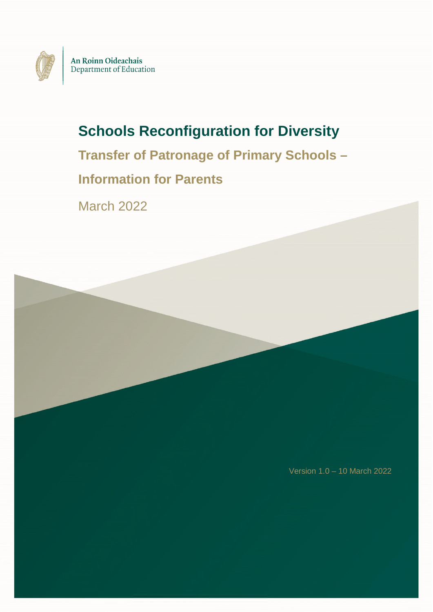

# **Schools Reconfiguration for Diversity**

**Transfer of Patronage of Primary Schools –** 

# **Information for Parents**

March 2022

Version 1.0 – 10 March 2022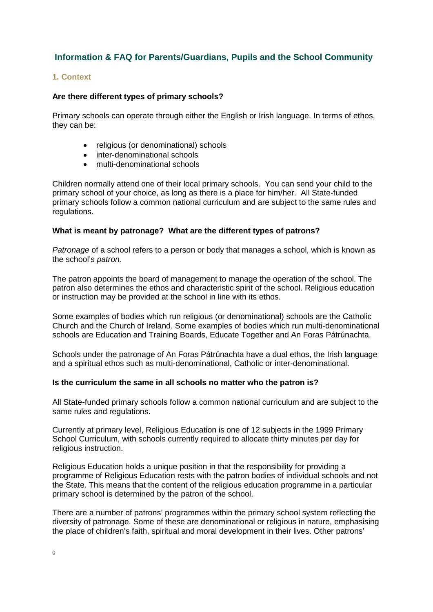# **Information & FAQ for Parents/Guardians, Pupils and the School Community**

### **1. Context**

#### **Are there different types of primary schools?**

Primary schools can operate through either the English or Irish language. In terms of ethos, they can be:

- religious (or denominational) schools
- inter-denominational schools
- multi-denominational schools

Children normally attend one of their local primary schools. You can send your child to the primary school of your choice, as long as there is a place for him/her. All State-funded primary schools follow a common national curriculum and are subject to the same rules and regulations.

#### **What is meant by patronage? What are the different types of patrons?**

*Patronage* of a school refers to a person or body that manages a school, which is known as the school's *patron.*

The patron appoints the board of management to manage the operation of the school. The patron also determines the ethos and characteristic spirit of the school. Religious education or instruction may be provided at the school in line with its ethos.

Some examples of bodies which run religious (or denominational) schools are the Catholic Church and the Church of Ireland. Some examples of bodies which run multi-denominational schools are Education and Training Boards, Educate Together and An Foras Pátrúnachta.

Schools under the patronage of An Foras Pátrúnachta have a dual ethos, the Irish language and a spiritual ethos such as multi-denominational, Catholic or inter-denominational.

#### **Is the curriculum the same in all schools no matter who the patron is?**

All State-funded primary schools follow a common national curriculum and are subject to the same rules and regulations.

Currently at primary level, Religious Education is one of 12 subjects in the 1999 Primary School Curriculum, with schools currently required to allocate thirty minutes per day for religious instruction.

Religious Education holds a unique position in that the responsibility for providing a programme of Religious Education rests with the patron bodies of individual schools and not the State. This means that the content of the religious education programme in a particular primary school is determined by the patron of the school.

There are a number of patrons' programmes within the primary school system reflecting the diversity of patronage. Some of these are denominational or religious in nature, emphasising the place of children's faith, spiritual and moral development in their lives. Other patrons'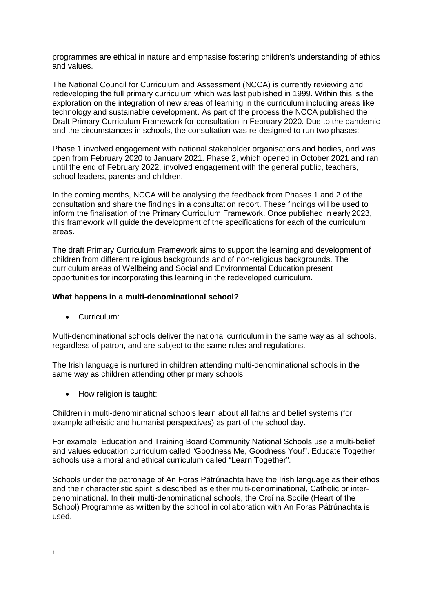programmes are ethical in nature and emphasise fostering children's understanding of ethics and values.

The National Council for Curriculum and Assessment (NCCA) is currently reviewing and redeveloping the full primary curriculum which was last published in 1999. Within this is the exploration on the integration of new areas of learning in the curriculum including areas like technology and sustainable development. As part of the process the NCCA published the Draft Primary Curriculum Framework for consultation in February 2020. Due to the pandemic and the circumstances in schools, the consultation was re-designed to run two phases:

Phase 1 involved engagement with national stakeholder organisations and bodies, and was open from February 2020 to January 2021. Phase 2, which opened in October 2021 and ran until the end of February 2022, involved engagement with the general public, teachers, school leaders, parents and children.

In the coming months, NCCA will be analysing the feedback from Phases 1 and 2 of the consultation and share the findings in a consultation report. These findings will be used to inform the finalisation of the Primary Curriculum Framework. Once published in early 2023, this framework will guide the development of the specifications for each of the curriculum areas.

The draft Primary Curriculum Framework aims to support the learning and development of children from different religious backgrounds and of non-religious backgrounds. The curriculum areas of Wellbeing and Social and Environmental Education present opportunities for incorporating this learning in the redeveloped curriculum.

#### **What happens in a multi-denominational school?**

• Curriculum:

Multi-denominational schools deliver the national curriculum in the same way as all schools, regardless of patron, and are subject to the same rules and regulations.

The Irish language is nurtured in children attending multi-denominational schools in the same way as children attending other primary schools.

• How religion is taught:

Children in multi-denominational schools learn about all faiths and belief systems (for example atheistic and humanist perspectives) as part of the school day.

For example, Education and Training Board Community National Schools use a multi-belief and values education curriculum called "Goodness Me, Goodness You!". Educate Together schools use a moral and ethical curriculum called "Learn Together".

Schools under the patronage of An Foras Pátrúnachta have the Irish language as their ethos and their characteristic spirit is described as either multi-denominational, Catholic or interdenominational. In their multi-denominational schools, the Croí na Scoile (Heart of the School) Programme as written by the school in collaboration with An Foras Pátrúnachta is used.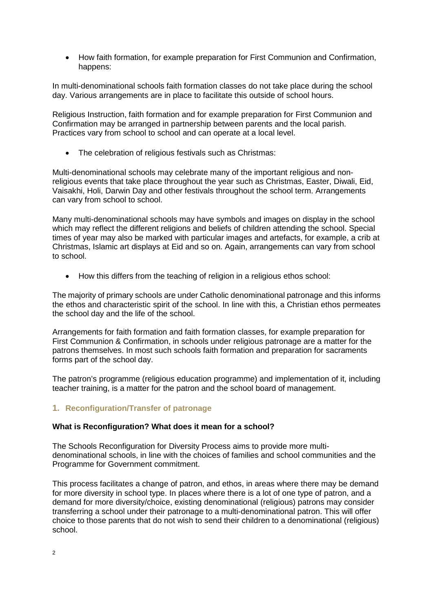How faith formation, for example preparation for First Communion and Confirmation, happens:

In multi-denominational schools faith formation classes do not take place during the school day. Various arrangements are in place to facilitate this outside of school hours.

Religious Instruction, faith formation and for example preparation for First Communion and Confirmation may be arranged in partnership between parents and the local parish. Practices vary from school to school and can operate at a local level.

• The celebration of religious festivals such as Christmas:

Multi-denominational schools may celebrate many of the important religious and nonreligious events that take place throughout the year such as Christmas, Easter, Diwali, Eid, Vaisakhi, Holi, Darwin Day and other festivals throughout the school term. Arrangements can vary from school to school.

Many multi-denominational schools may have symbols and images on display in the school which may reflect the different religions and beliefs of children attending the school. Special times of year may also be marked with particular images and artefacts, for example, a crib at Christmas, Islamic art displays at Eid and so on. Again, arrangements can vary from school to school.

• How this differs from the teaching of religion in a religious ethos school:

The majority of primary schools are under Catholic denominational patronage and this informs the ethos and characteristic spirit of the school. In line with this, a Christian ethos permeates the school day and the life of the school.

Arrangements for faith formation and faith formation classes, for example preparation for First Communion & Confirmation, in schools under religious patronage are a matter for the patrons themselves. In most such schools faith formation and preparation for sacraments forms part of the school day.

The patron's programme (religious education programme) and implementation of it, including teacher training, is a matter for the patron and the school board of management.

# **1. Reconfiguration/Transfer of patronage**

# **What is Reconfiguration? What does it mean for a school?**

The Schools Reconfiguration for Diversity Process aims to provide more multidenominational schools, in line with the choices of families and school communities and the Programme for Government commitment.

This process facilitates a change of patron, and ethos, in areas where there may be demand for more diversity in school type. In places where there is a lot of one type of patron, and a demand for more diversity/choice, existing denominational (religious) patrons may consider transferring a school under their patronage to a multi-denominational patron. This will offer choice to those parents that do not wish to send their children to a denominational (religious) school.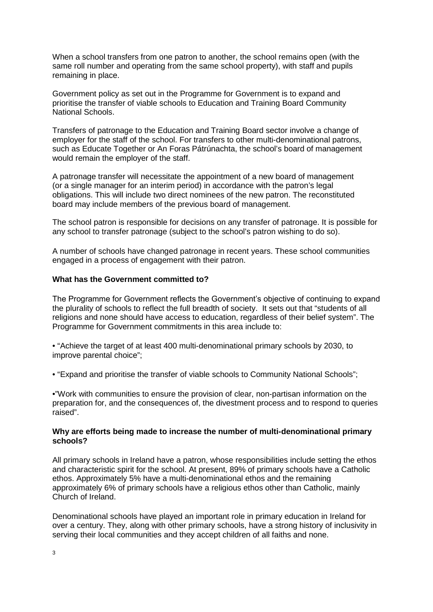When a school transfers from one patron to another, the school remains open (with the same roll number and operating from the same school property), with staff and pupils remaining in place.

Government policy as set out in the Programme for Government is to expand and prioritise the transfer of viable schools to Education and Training Board Community National Schools.

Transfers of patronage to the Education and Training Board sector involve a change of employer for the staff of the school. For transfers to other multi-denominational patrons, such as Educate Together or An Foras Pátrúnachta, the school's board of management would remain the employer of the staff.

A patronage transfer will necessitate the appointment of a new board of management (or a single manager for an interim period) in accordance with the patron's legal obligations. This will include two direct nominees of the new patron. The reconstituted board may include members of the previous board of management.

The school patron is responsible for decisions on any transfer of patronage. It is possible for any school to transfer patronage (subject to the school's patron wishing to do so).

A number of schools have changed patronage in recent years. These school communities engaged in a process of engagement with their patron.

#### **What has the Government committed to?**

The Programme for Government reflects the Government's objective of continuing to expand the plurality of schools to reflect the full breadth of society. It sets out that "students of all religions and none should have access to education, regardless of their belief system". The Programme for Government commitments in this area include to:

• "Achieve the target of at least 400 multi-denominational primary schools by 2030, to improve parental choice";

• "Expand and prioritise the transfer of viable schools to Community National Schools";

•"Work with communities to ensure the provision of clear, non-partisan information on the preparation for, and the consequences of, the divestment process and to respond to queries raised".

#### **Why are efforts being made to increase the number of multi-denominational primary schools?**

All primary schools in Ireland have a patron, whose responsibilities include setting the ethos and characteristic spirit for the school. At present, 89% of primary schools have a Catholic ethos. Approximately 5% have a multi-denominational ethos and the remaining approximately 6% of primary schools have a religious ethos other than Catholic, mainly Church of Ireland.

Denominational schools have played an important role in primary education in Ireland for over a century. They, along with other primary schools, have a strong history of inclusivity in serving their local communities and they accept children of all faiths and none.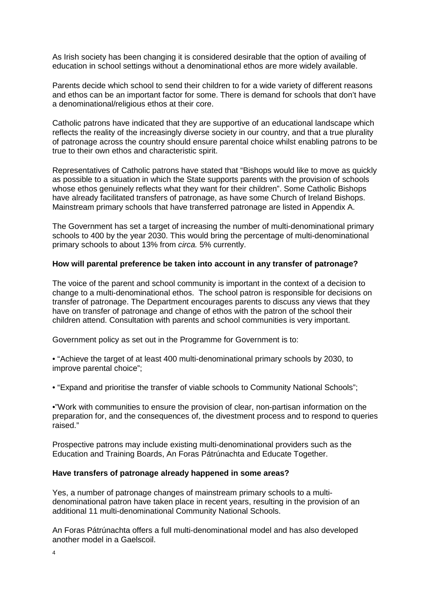As Irish society has been changing it is considered desirable that the option of availing of education in school settings without a denominational ethos are more widely available.

Parents decide which school to send their children to for a wide variety of different reasons and ethos can be an important factor for some. There is demand for schools that don't have a denominational/religious ethos at their core.

Catholic patrons have indicated that they are supportive of an educational landscape which reflects the reality of the increasingly diverse society in our country, and that a true plurality of patronage across the country should ensure parental choice whilst enabling patrons to be true to their own ethos and characteristic spirit.

Representatives of Catholic patrons have stated that "Bishops would like to move as quickly as possible to a situation in which the State supports parents with the provision of schools whose ethos genuinely reflects what they want for their children". Some Catholic Bishops have already facilitated transfers of patronage, as have some Church of Ireland Bishops. Mainstream primary schools that have transferred patronage are listed in Appendix A.

The Government has set a target of increasing the number of multi-denominational primary schools to 400 by the year 2030. This would bring the percentage of multi-denominational primary schools to about 13% from *circa.* 5% currently.

#### **How will parental preference be taken into account in any transfer of patronage?**

The voice of the parent and school community is important in the context of a decision to change to a multi-denominational ethos. The school patron is responsible for decisions on transfer of patronage. The Department encourages parents to discuss any views that they have on transfer of patronage and change of ethos with the patron of the school their children attend. Consultation with parents and school communities is very important.

Government policy as set out in the Programme for Government is to:

• "Achieve the target of at least 400 multi-denominational primary schools by 2030, to improve parental choice";

• "Expand and prioritise the transfer of viable schools to Community National Schools";

•"Work with communities to ensure the provision of clear, non-partisan information on the preparation for, and the consequences of, the divestment process and to respond to queries raised."

Prospective patrons may include existing multi-denominational providers such as the Education and Training Boards, An Foras Pátrúnachta and Educate Together.

#### **Have transfers of patronage already happened in some areas?**

Yes, a number of patronage changes of mainstream primary schools to a multidenominational patron have taken place in recent years, resulting in the provision of an additional 11 multi-denominational Community National Schools.

An Foras Pátrúnachta offers a full multi-denominational model and has also developed another model in a Gaelscoil.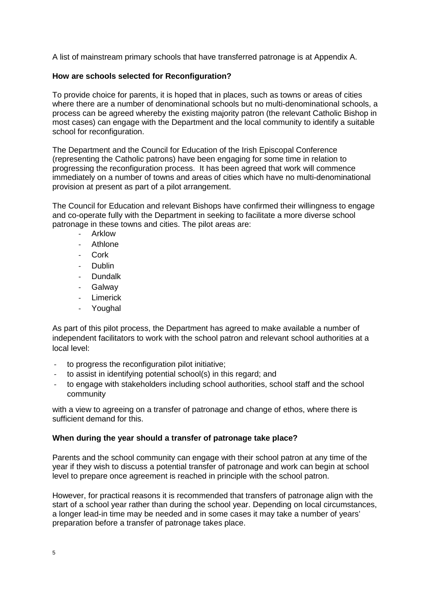A list of mainstream primary schools that have transferred patronage is at Appendix A.

### **How are schools selected for Reconfiguration?**

To provide choice for parents, it is hoped that in places, such as towns or areas of cities where there are a number of denominational schools but no multi-denominational schools, a process can be agreed whereby the existing majority patron (the relevant Catholic Bishop in most cases) can engage with the Department and the local community to identify a suitable school for reconfiguration.

The Department and the Council for Education of the Irish Episcopal Conference (representing the Catholic patrons) have been engaging for some time in relation to progressing the reconfiguration process. It has been agreed that work will commence immediately on a number of towns and areas of cities which have no multi-denominational provision at present as part of a pilot arrangement.

The Council for Education and relevant Bishops have confirmed their willingness to engage and co-operate fully with the Department in seeking to facilitate a more diverse school patronage in these towns and cities. The pilot areas are:

- Arklow
- **Athlone**
- Cork<sub></sub>
- Dublin
- Dundalk
- Galway
- Limerick
- Youghal

As part of this pilot process, the Department has agreed to make available a number of independent facilitators to work with the school patron and relevant school authorities at a local level:

- to progress the reconfiguration pilot initiative;
- to assist in identifying potential school(s) in this regard; and
- to engage with stakeholders including school authorities, school staff and the school community

with a view to agreeing on a transfer of patronage and change of ethos, where there is sufficient demand for this.

#### **When during the year should a transfer of patronage take place?**

Parents and the school community can engage with their school patron at any time of the year if they wish to discuss a potential transfer of patronage and work can begin at school level to prepare once agreement is reached in principle with the school patron.

However, for practical reasons it is recommended that transfers of patronage align with the start of a school year rather than during the school year. Depending on local circumstances, a longer lead-in time may be needed and in some cases it may take a number of years' preparation before a transfer of patronage takes place.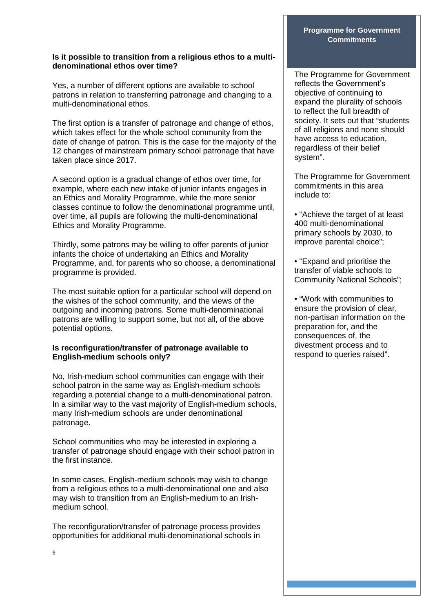#### **Is it possible to transition from a religious ethos to a multidenominational ethos over time?**

Yes, a number of different options are available to school patrons in relation to transferring patronage and changing to a multi-denominational ethos.

The first option is a transfer of patronage and change of ethos, which takes effect for the whole school community from the date of change of patron. This is the case for the majority of the 12 changes of mainstream primary school patronage that have taken place since 2017.

A second option is a gradual change of ethos over time, for example, where each new intake of junior infants engages in an Ethics and Morality Programme, while the more senior classes continue to follow the denominational programme until, over time, all pupils are following the multi-denominational Ethics and Morality Programme**.** 

Thirdly, some patrons may be willing to offer parents of junior infants the choice of undertaking an Ethics and Morality Programme, and, for parents who so choose, a denominational programme is provided.

The most suitable option for a particular school will depend on the wishes of the school community, and the views of the outgoing and incoming patrons. Some multi-denominational patrons are willing to support some, but not all, of the above potential options.

# **Is reconfiguration/transfer of patronage available to English-medium schools only?**

No, Irish-medium school communities can engage with their school patron in the same way as English-medium schools regarding a potential change to a multi-denominational patron. In a similar way to the vast majority of English-medium schools, many Irish-medium schools are under denominational patronage.

School communities who may be interested in exploring a transfer of patronage should engage with their school patron in the first instance.

In some cases, English-medium schools may wish to change from a religious ethos to a multi-denominational one and also may wish to transition from an English-medium to an Irishmedium school.

The reconfiguration/transfer of patronage process provides opportunities for additional multi-denominational schools in

### **Programme for Government Commitments**

The Programme for Government reflects the Government's objective of continuing to expand the plurality of schools to reflect the full breadth of society. It sets out that "students of all religions and none should have access to education, regardless of their belief system".

The Programme for Government commitments in this area include to:

• "Achieve the target of at least 400 multi-denominational primary schools by 2030, to improve parental choice";

• "Expand and prioritise the transfer of viable schools to Community National Schools";

• "Work with communities to ensure the provision of clear, non-partisan information on the preparation for, and the consequences of, the divestment process and to respond to queries raised".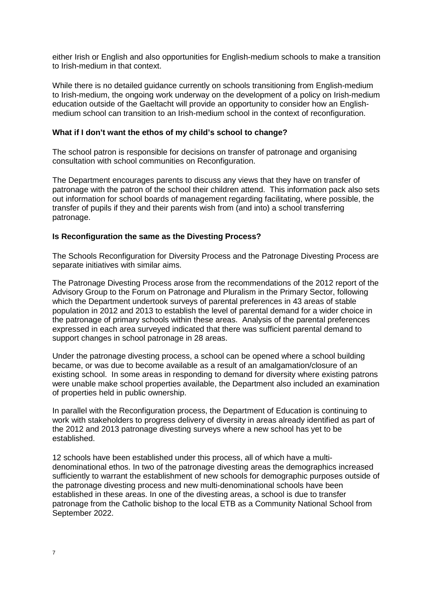either Irish or English and also opportunities for English-medium schools to make a transition to Irish-medium in that context.

While there is no detailed guidance currently on schools transitioning from English-medium to Irish-medium, the ongoing work underway on the development of a policy on Irish-medium education outside of the Gaeltacht will provide an opportunity to consider how an Englishmedium school can transition to an Irish-medium school in the context of reconfiguration.

#### **What if I don't want the ethos of my child's school to change?**

The school patron is responsible for decisions on transfer of patronage and organising consultation with school communities on Reconfiguration.

The Department encourages parents to discuss any views that they have on transfer of patronage with the patron of the school their children attend. This information pack also sets out information for school boards of management regarding facilitating, where possible, the transfer of pupils if they and their parents wish from (and into) a school transferring patronage.

#### **Is Reconfiguration the same as the Divesting Process?**

The Schools Reconfiguration for Diversity Process and the Patronage Divesting Process are separate initiatives with similar aims.

The Patronage Divesting Process arose from the recommendations of the 2012 report of the Advisory Group to the Forum on Patronage and Pluralism in the Primary Sector, following which the Department undertook surveys of parental preferences in 43 areas of stable population in 2012 and 2013 to establish the level of parental demand for a wider choice in the patronage of primary schools within these areas. Analysis of the parental preferences expressed in each area surveyed indicated that there was sufficient parental demand to support changes in school patronage in 28 areas.

Under the patronage divesting process, a school can be opened where a school building became, or was due to become available as a result of an amalgamation/closure of an existing school. In some areas in responding to demand for diversity where existing patrons were unable make school properties available, the Department also included an examination of properties held in public ownership.

In parallel with the Reconfiguration process, the Department of Education is continuing to work with stakeholders to progress delivery of diversity in areas already identified as part of the 2012 and 2013 patronage divesting surveys where a new school has yet to be established.

12 schools have been established under this process, all of which have a multidenominational ethos. In two of the patronage divesting areas the demographics increased sufficiently to warrant the establishment of new schools for demographic purposes outside of the patronage divesting process and new multi-denominational schools have been established in these areas. In one of the divesting areas, a school is due to transfer patronage from the Catholic bishop to the local ETB as a Community National School from September 2022.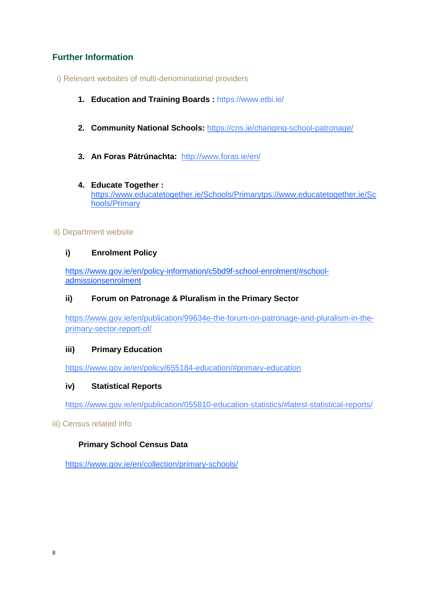# **Further Information**

- i) Relevant websites of multi-denominational providers
	- **1. Education and Training Boards :** <https://www.etbi.ie/>
	- **2. Community National Schools:** <https://cns.ie/changing-school-patronage/>
	- **3. An Foras Pátrúnachta:** <http://www.foras.ie/en/>

# **4. Educate Together :**

[https://www.educatetogether.ie/Schools/Primarytps://www.educatetogether.ie/Sc](https://www.educatetogether.ie/Schools/Primary) [hools/Primary](https://www.educatetogether.ie/Schools/Primary)

# ii) Department website

# **i) Enrolment Policy**

[https://www.gov.ie/en/policy-information/c5bd9f-school-enrolment/#school](https://www.gov.ie/en/policy-information/c5bd9f-school-enrolment/#school-admissionsenrolment)[admissionsenrolment](https://www.gov.ie/en/policy-information/c5bd9f-school-enrolment/#school-admissionsenrolment)

# **ii) Forum on Patronage & Pluralism in the Primary Sector**

[https://www.gov.ie/en/publication/99634e-the-forum-on-patronage-and-pluralism-in-the](https://www.gov.ie/en/publication/99634e-the-forum-on-patronage-and-pluralism-in-the-primary-sector-report-of/)[primary-sector-report-of/](https://www.gov.ie/en/publication/99634e-the-forum-on-patronage-and-pluralism-in-the-primary-sector-report-of/)

# **iii) Primary Education**

<https://www.gov.ie/en/policy/655184-education/#primary-education>

# **iv) Statistical Reports**

[https://www.gov.ie/en/publication/055810-education-statistics/#latest-statistical-reports/](https://www.education.ie/en/Publications/Statistics/Statistical-Reports/)

# iii) Census related info

# **Primary School Census Data**

https://www.gov.ie/en/collection/primary-schools/